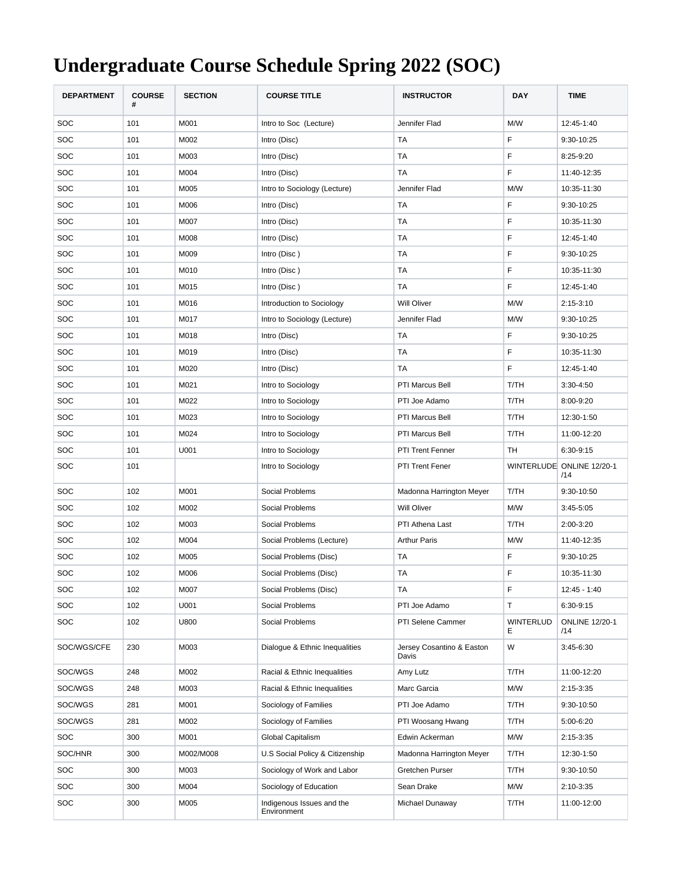## **Undergraduate Course Schedule Spring 2022 (SOC)**

| <b>DEPARTMENT</b> | <b>COURSE</b><br># | <b>SECTION</b> | <b>COURSE TITLE</b>                      | <b>INSTRUCTOR</b>                  | <b>DAY</b>            | <b>TIME</b>                      |
|-------------------|--------------------|----------------|------------------------------------------|------------------------------------|-----------------------|----------------------------------|
| <b>SOC</b>        | 101                | M001           | Intro to Soc (Lecture)                   | Jennifer Flad                      | M/W                   | 12:45-1:40                       |
| SOC               | 101                | M002           | Intro (Disc)                             | <b>TA</b>                          | F                     | 9:30-10:25                       |
| SOC               | 101                | M003           | Intro (Disc)                             | <b>TA</b>                          | F                     | 8:25-9:20                        |
| SOC               | 101                | M004           | Intro (Disc)                             | TA                                 | F                     | 11:40-12:35                      |
| SOC               | 101                | M005           | Intro to Sociology (Lecture)             | Jennifer Flad                      | M/W                   | 10:35-11:30                      |
| SOC               | 101                | M006           | Intro (Disc)                             | <b>TA</b>                          | F                     | 9:30-10:25                       |
| SOC               | 101                | M007           | Intro (Disc)                             | <b>TA</b>                          | F                     | 10:35-11:30                      |
| SOC               | 101                | M008           | Intro (Disc)                             | <b>TA</b>                          | F                     | 12:45-1:40                       |
| SOC               | 101                | M009           | Intro (Disc)                             | TA                                 | F                     | 9:30-10:25                       |
| SOC               | 101                | M010           | Intro (Disc)                             | <b>TA</b>                          | F                     | 10:35-11:30                      |
| SOC               | 101                | M015           | Intro (Disc)                             | <b>TA</b>                          | F                     | 12:45-1:40                       |
| SOC               | 101                | M016           | Introduction to Sociology                | <b>Will Oliver</b>                 | M/W                   | 2:15-3:10                        |
| SOC               | 101                | M017           | Intro to Sociology (Lecture)             | Jennifer Flad                      | M/W                   | 9:30-10:25                       |
| SOC               | 101                | M018           | Intro (Disc)                             | TA                                 | F                     | 9:30-10:25                       |
| SOC               | 101                | M019           | Intro (Disc)                             | <b>TA</b>                          | F                     | 10:35-11:30                      |
| SOC               | 101                | M020           | Intro (Disc)                             | TA                                 | F                     | 12:45-1:40                       |
| SOC               | 101                | M021           | Intro to Sociology                       | PTI Marcus Bell                    | T/TH                  | 3:30-4:50                        |
| SOC               | 101                | M022           | Intro to Sociology                       | PTI Joe Adamo                      | T/TH                  | 8:00-9:20                        |
| SOC               | 101                | M023           | Intro to Sociology                       | PTI Marcus Bell                    | T/TH                  | 12:30-1:50                       |
| SOC               | 101                | M024           | Intro to Sociology                       | PTI Marcus Bell                    | T/TH                  | 11:00-12:20                      |
| SOC               | 101                | U001           | Intro to Sociology                       | PTI Trent Fenner                   | TH                    | 6:30-9:15                        |
| SOC               | 101                |                | Intro to Sociology                       | <b>PTI Trent Fener</b>             |                       | WINTERLUDE ONLINE 12/20-1<br>/14 |
| SOC               | 102                | M001           | Social Problems                          | Madonna Harrington Meyer           | T/TH                  | 9:30-10:50                       |
| SOC               | 102                | M002           | Social Problems                          | <b>Will Oliver</b>                 | M/W                   | 3:45-5:05                        |
| SOC               | 102                | M003           | Social Problems                          | PTI Athena Last                    | T/TH                  | 2:00-3:20                        |
| SOC               | 102                | M004           | Social Problems (Lecture)                | <b>Arthur Paris</b>                | M/W                   | 11:40-12:35                      |
| SOC               | 102                | M005           | Social Problems (Disc)                   | <b>TA</b>                          | F                     | 9:30-10:25                       |
| SOC               | 102                | M006           | Social Problems (Disc)                   | TA                                 | F                     | 10:35-11:30                      |
| SOC               | 102                | M007           | Social Problems (Disc)                   | TA                                 | F                     | 12:45 - 1:40                     |
| SOC               | 102                | U001           | Social Problems                          | PTI Joe Adamo                      | т                     | 6:30-9:15                        |
| <b>SOC</b>        | 102                | U800           | Social Problems                          | PTI Selene Cammer                  | <b>WINTERLUD</b><br>Е | <b>ONLINE 12/20-1</b><br>/14     |
| SOC/WGS/CFE       | 230                | M003           | Dialogue & Ethnic Inequalities           | Jersey Cosantino & Easton<br>Davis | W                     | 3:45-6:30                        |
| SOC/WGS           | 248                | M002           | Racial & Ethnic Inequalities             | Amy Lutz                           | T/TH                  | 11:00-12:20                      |
| SOC/WGS           | 248                | M003           | Racial & Ethnic Inequalities             | Marc Garcia                        | M/W                   | 2:15-3:35                        |
| SOC/WGS           | 281                | M001           | Sociology of Families                    | PTI Joe Adamo                      | T/TH                  | 9:30-10:50                       |
| SOC/WGS           | 281                | M002           | Sociology of Families                    | PTI Woosang Hwang                  | T/TH                  | 5:00-6:20                        |
| <b>SOC</b>        | 300                | M001           | Global Capitalism                        | Edwin Ackerman                     | M/W                   | 2:15-3:35                        |
| SOC/HNR           | 300                | M002/M008      | U.S Social Policy & Citizenship          | Madonna Harrington Meyer           | T/TH                  | 12:30-1:50                       |
| <b>SOC</b>        | 300                | M003           | Sociology of Work and Labor              | Gretchen Purser                    | T/TH                  | 9:30-10:50                       |
| SOC               | 300                | M004           | Sociology of Education                   | Sean Drake                         | M/W                   | 2:10-3:35                        |
| SOC               | 300                | M005           | Indigenous Issues and the<br>Environment | Michael Dunaway                    | T/TH                  | 11:00-12:00                      |